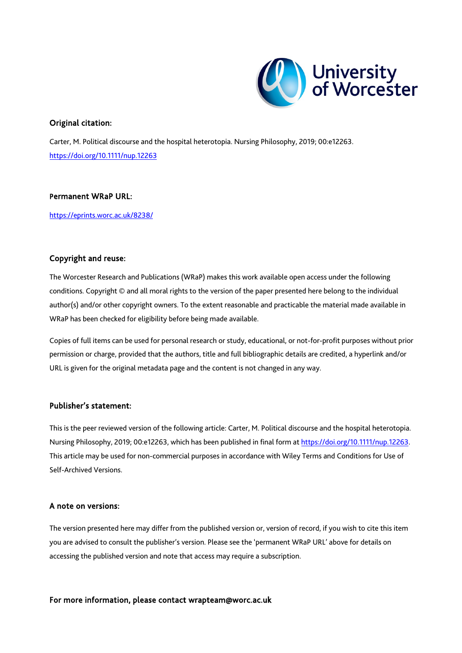

# Original citation:

Carter, M. Political discourse and the hospital heterotopia. Nursing Philosophy, 2019; 00:e12263. <https://doi.org/10.1111/nup.12263>

# Permanent WRaP URL:

<https://eprints.worc.ac.uk/8238/>

# Copyright and reuse:

The Worcester Research and Publications (WRaP) makes this work available open access under the following conditions. Copyright © and all moral rights to the version of the paper presented here belong to the individual author(s) and/or other copyright owners. To the extent reasonable and practicable the material made available in WRaP has been checked for eligibility before being made available.

Copies of full items can be used for personal research or study, educational, or not-for-profit purposes without prior permission or charge, provided that the authors, title and full bibliographic details are credited, a hyperlink and/or URL is given for the original metadata page and the content is not changed in any way.

# Publisher's statement:

This is the peer reviewed version of the following article: Carter, M. Political discourse and the hospital heterotopia. Nursing Philosophy, 2019; 00:e12263, which has been published in final form at https://doi.org/10.1111/nup.12263. This article may be used for non-commercial purposes in accordance with Wiley Terms and Conditions for Use of Self-Archived Versions.

# A note on versions:

The version presented here may differ from the published version or, version of record, if you wish to cite this item you are advised to consult the publisher's version. Please see the 'permanent WRaP URL' above for details on accessing the published version and note that access may require a subscription.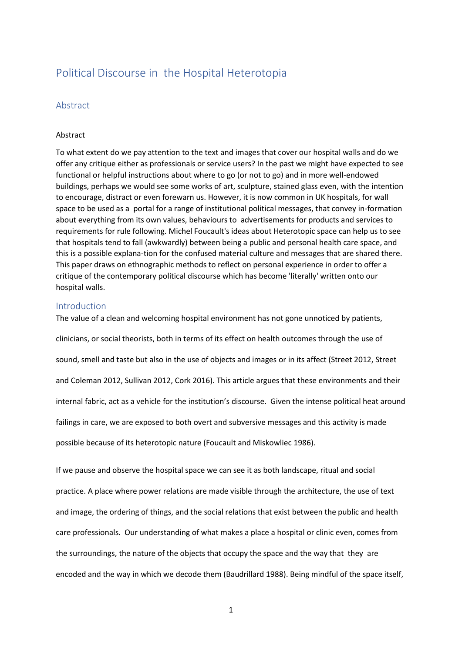# Political Discourse in the Hospital Heterotopia

# Abstract

### Abstract

To what extent do we pay attention to the text and images that cover our hospital walls and do we offer any critique either as professionals or service users? In the past we might have expected to see functional or helpful instructions about where to go (or not to go) and in more well-endowed buildings, perhaps we would see some works of art, sculpture, stained glass even, with the intention to encourage, distract or even forewarn us. However, it is now common in UK hospitals, for wall space to be used as a portal for a range of institutional political messages, that convey in-formation about everything from its own values, behaviours to advertisements for products and services to requirements for rule following. Michel Foucault's ideas about Heterotopic space can help us to see that hospitals tend to fall (awkwardly) between being a public and personal health care space, and this is a possible explana-tion for the confused material culture and messages that are shared there. This paper draws on ethnographic methods to reflect on personal experience in order to offer a critique of the contemporary political discourse which has become 'literally' written onto our hospital walls.

### Introduction

The value of a clean and welcoming hospital environment has not gone unnoticed by patients, clinicians, or social theorists, both in terms of its effect on health outcomes through the use of sound, smell and taste but also in the use of objects and images or in its affect (Street 2012, Street and Coleman 2012, Sullivan 2012, Cork 2016). This article argues that these environments and their internal fabric, act as a vehicle for the institution's discourse. Given the intense political heat around failings in care, we are exposed to both overt and subversive messages and this activity is made possible because of its heterotopic nature (Foucault and Miskowliec 1986).

If we pause and observe the hospital space we can see it as both landscape, ritual and social practice. A place where power relations are made visible through the architecture, the use of text and image, the ordering of things, and the social relations that exist between the public and health care professionals. Our understanding of what makes a place a hospital or clinic even, comes from the surroundings, the nature of the objects that occupy the space and the way that they are encoded and the way in which we decode them (Baudrillard 1988). Being mindful of the space itself,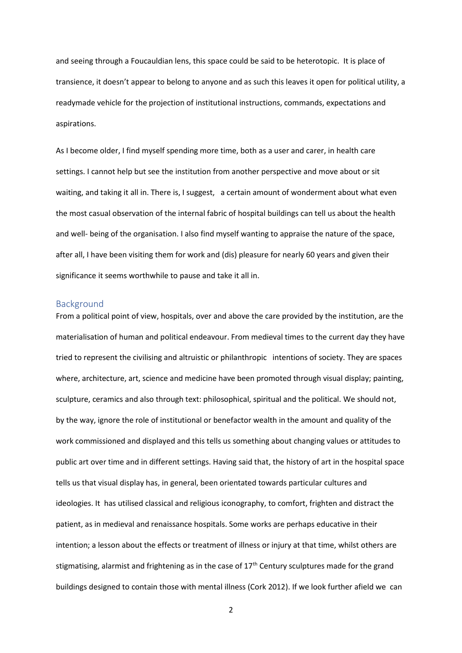and seeing through a Foucauldian lens, this space could be said to be heterotopic. It is place of transience, it doesn't appear to belong to anyone and as such this leaves it open for political utility, a readymade vehicle for the projection of institutional instructions, commands, expectations and aspirations.

As I become older, I find myself spending more time, both as a user and carer, in health care settings. I cannot help but see the institution from another perspective and move about or sit waiting, and taking it all in. There is, I suggest, a certain amount of wonderment about what even the most casual observation of the internal fabric of hospital buildings can tell us about the health and well- being of the organisation. I also find myself wanting to appraise the nature of the space, after all, I have been visiting them for work and (dis) pleasure for nearly 60 years and given their significance it seems worthwhile to pause and take it all in.

### Background

From a political point of view, hospitals, over and above the care provided by the institution, are the materialisation of human and political endeavour. From medieval times to the current day they have tried to represent the civilising and altruistic or philanthropic intentions of society. They are spaces where, architecture, art, science and medicine have been promoted through visual display; painting, sculpture, ceramics and also through text: philosophical, spiritual and the political. We should not, by the way, ignore the role of institutional or benefactor wealth in the amount and quality of the work commissioned and displayed and this tells us something about changing values or attitudes to public art over time and in different settings. Having said that, the history of art in the hospital space tells us that visual display has, in general, been orientated towards particular cultures and ideologies. It has utilised classical and religious iconography, to comfort, frighten and distract the patient, as in medieval and renaissance hospitals. Some works are perhaps educative in their intention; a lesson about the effects or treatment of illness or injury at that time, whilst others are stigmatising, alarmist and frightening as in the case of  $17<sup>th</sup>$  Century sculptures made for the grand buildings designed to contain those with mental illness (Cork 2012). If we look further afield we can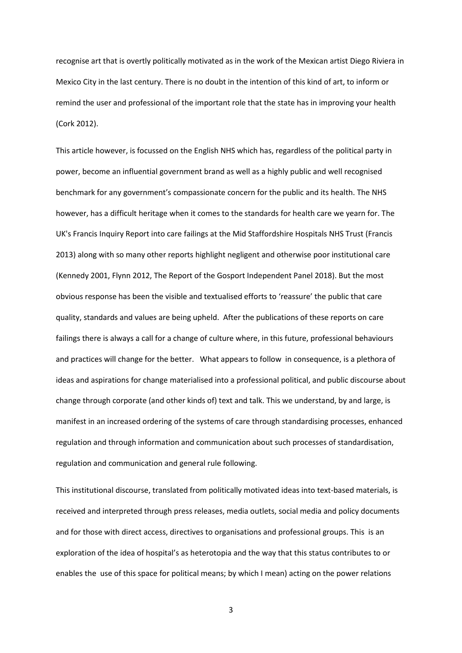recognise art that is overtly politically motivated as in the work of the Mexican artist Diego Riviera in Mexico City in the last century. There is no doubt in the intention of this kind of art, to inform or remind the user and professional of the important role that the state has in improving your health (Cork 2012).

This article however, is focussed on the English NHS which has, regardless of the political party in power, become an influential government brand as well as a highly public and well recognised benchmark for any government's compassionate concern for the public and its health. The NHS however, has a difficult heritage when it comes to the standards for health care we yearn for. The UK's Francis Inquiry Report into care failings at the Mid Staffordshire Hospitals NHS Trust (Francis 2013) along with so many other reports highlight negligent and otherwise poor institutional care (Kennedy 2001, Flynn 2012, The Report of the Gosport Independent Panel 2018). But the most obvious response has been the visible and textualised efforts to 'reassure' the public that care quality, standards and values are being upheld. After the publications of these reports on care failings there is always a call for a change of culture where, in this future, professional behaviours and practices will change for the better. What appears to follow in consequence, is a plethora of ideas and aspirations for change materialised into a professional political, and public discourse about change through corporate (and other kinds of) text and talk. This we understand, by and large, is manifest in an increased ordering of the systems of care through standardising processes, enhanced regulation and through information and communication about such processes of standardisation, regulation and communication and general rule following.

This institutional discourse, translated from politically motivated ideas into text-based materials, is received and interpreted through press releases, media outlets, social media and policy documents and for those with direct access, directives to organisations and professional groups. This is an exploration of the idea of hospital's as heterotopia and the way that this status contributes to or enables the use of this space for political means; by which I mean) acting on the power relations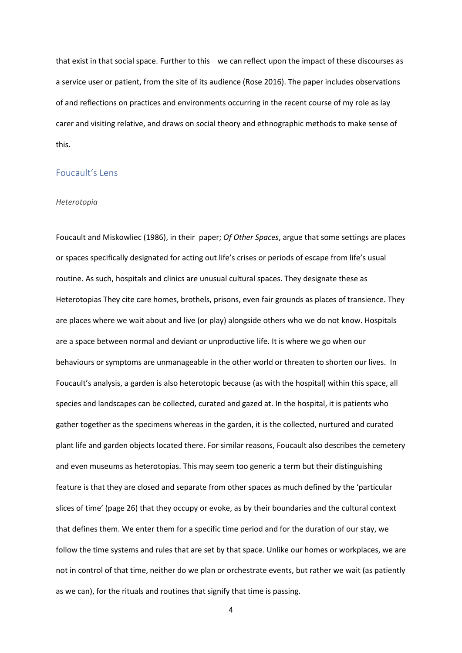that exist in that social space. Further to this we can reflect upon the impact of these discourses as a service user or patient, from the site of its audience (Rose 2016). The paper includes observations of and reflections on practices and environments occurring in the recent course of my role as lay carer and visiting relative, and draws on social theory and ethnographic methods to make sense of this.

## Foucault's Lens

### *Heterotopia*

Foucault and Miskowliec (1986), in their paper; *Of Other Spaces*, argue that some settings are places or spaces specifically designated for acting out life's crises or periods of escape from life's usual routine. As such, hospitals and clinics are unusual cultural spaces. They designate these as Heterotopias They cite care homes, brothels, prisons, even fair grounds as places of transience. They are places where we wait about and live (or play) alongside others who we do not know. Hospitals are a space between normal and deviant or unproductive life. It is where we go when our behaviours or symptoms are unmanageable in the other world or threaten to shorten our lives. In Foucault's analysis, a garden is also heterotopic because (as with the hospital) within this space, all species and landscapes can be collected, curated and gazed at. In the hospital, it is patients who gather together as the specimens whereas in the garden, it is the collected, nurtured and curated plant life and garden objects located there. For similar reasons, Foucault also describes the cemetery and even museums as heterotopias. This may seem too generic a term but their distinguishing feature is that they are closed and separate from other spaces as much defined by the 'particular slices of time' (page 26) that they occupy or evoke, as by their boundaries and the cultural context that defines them. We enter them for a specific time period and for the duration of our stay, we follow the time systems and rules that are set by that space. Unlike our homes or workplaces, we are not in control of that time, neither do we plan or orchestrate events, but rather we wait (as patiently as we can), for the rituals and routines that signify that time is passing.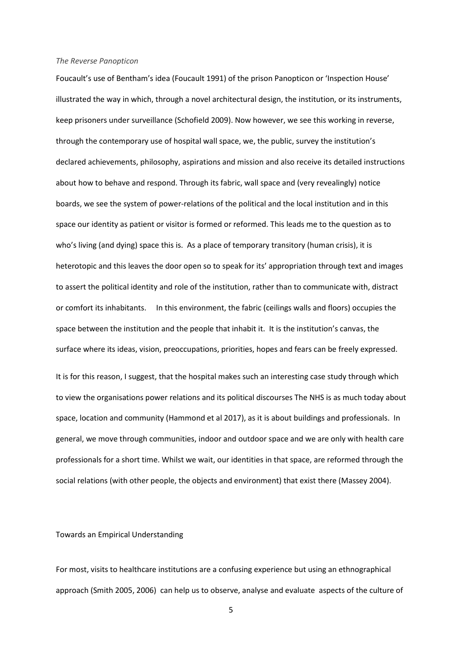#### *The Reverse Panopticon*

Foucault's use of Bentham's idea (Foucault 1991) of the prison Panopticon or 'Inspection House' illustrated the way in which, through a novel architectural design, the institution, or its instruments, keep prisoners under surveillance (Schofield 2009). Now however, we see this working in reverse, through the contemporary use of hospital wall space, we, the public, survey the institution's declared achievements, philosophy, aspirations and mission and also receive its detailed instructions about how to behave and respond. Through its fabric, wall space and (very revealingly) notice boards, we see the system of power-relations of the political and the local institution and in this space our identity as patient or visitor is formed or reformed. This leads me to the question as to who's living (and dying) space this is. As a place of temporary transitory (human crisis), it is heterotopic and this leaves the door open so to speak for its' appropriation through text and images to assert the political identity and role of the institution, rather than to communicate with, distract or comfort its inhabitants. In this environment, the fabric (ceilings walls and floors) occupies the space between the institution and the people that inhabit it. It is the institution's canvas, the surface where its ideas, vision, preoccupations, priorities, hopes and fears can be freely expressed. It is for this reason, I suggest, that the hospital makes such an interesting case study through which to view the organisations power relations and its political discourses The NHS is as much today about space, location and community (Hammond et al 2017), as it is about buildings and professionals. In general, we move through communities, indoor and outdoor space and we are only with health care professionals for a short time. Whilst we wait, our identities in that space, are reformed through the social relations (with other people, the objects and environment) that exist there (Massey 2004).

Towards an Empirical Understanding

For most, visits to healthcare institutions are a confusing experience but using an ethnographical approach (Smith 2005, 2006) can help us to observe, analyse and evaluate aspects of the culture of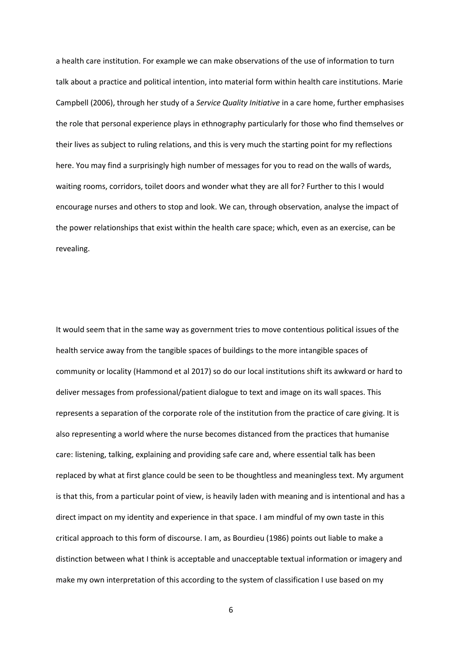a health care institution. For example we can make observations of the use of information to turn talk about a practice and political intention, into material form within health care institutions. Marie Campbell (2006), through her study of a *Service Quality Initiative* in a care home, further emphasises the role that personal experience plays in ethnography particularly for those who find themselves or their lives as subject to ruling relations, and this is very much the starting point for my reflections here. You may find a surprisingly high number of messages for you to read on the walls of wards, waiting rooms, corridors, toilet doors and wonder what they are all for? Further to this I would encourage nurses and others to stop and look. We can, through observation, analyse the impact of the power relationships that exist within the health care space; which, even as an exercise, can be revealing.

It would seem that in the same way as government tries to move contentious political issues of the health service away from the tangible spaces of buildings to the more intangible spaces of community or locality (Hammond et al 2017) so do our local institutions shift its awkward or hard to deliver messages from professional/patient dialogue to text and image on its wall spaces. This represents a separation of the corporate role of the institution from the practice of care giving. It is also representing a world where the nurse becomes distanced from the practices that humanise care: listening, talking, explaining and providing safe care and, where essential talk has been replaced by what at first glance could be seen to be thoughtless and meaningless text. My argument is that this, from a particular point of view, is heavily laden with meaning and is intentional and has a direct impact on my identity and experience in that space. I am mindful of my own taste in this critical approach to this form of discourse. I am, as Bourdieu (1986) points out liable to make a distinction between what I think is acceptable and unacceptable textual information or imagery and make my own interpretation of this according to the system of classification I use based on my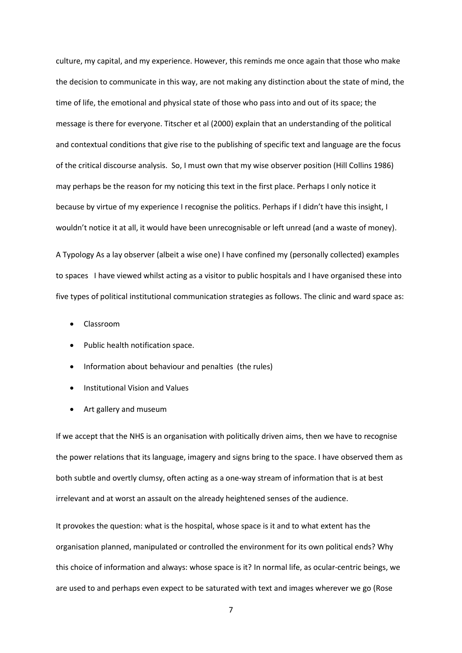culture, my capital, and my experience. However, this reminds me once again that those who make the decision to communicate in this way, are not making any distinction about the state of mind, the time of life, the emotional and physical state of those who pass into and out of its space; the message is there for everyone. Titscher et al (2000) explain that an understanding of the political and contextual conditions that give rise to the publishing of specific text and language are the focus of the critical discourse analysis. So, I must own that my wise observer position (Hill Collins 1986) may perhaps be the reason for my noticing this text in the first place. Perhaps I only notice it because by virtue of my experience I recognise the politics. Perhaps if I didn't have this insight, I wouldn't notice it at all, it would have been unrecognisable or left unread (and a waste of money).

A Typology As a lay observer (albeit a wise one) I have confined my (personally collected) examples to spaces I have viewed whilst acting as a visitor to public hospitals and I have organised these into five types of political institutional communication strategies as follows. The clinic and ward space as:

- Classroom
- Public health notification space.
- Information about behaviour and penalties (the rules)
- Institutional Vision and Values
- Art gallery and museum

If we accept that the NHS is an organisation with politically driven aims, then we have to recognise the power relations that its language, imagery and signs bring to the space. I have observed them as both subtle and overtly clumsy, often acting as a one-way stream of information that is at best irrelevant and at worst an assault on the already heightened senses of the audience.

It provokes the question: what is the hospital, whose space is it and to what extent has the organisation planned, manipulated or controlled the environment for its own political ends? Why this choice of information and always: whose space is it? In normal life, as ocular-centric beings, we are used to and perhaps even expect to be saturated with text and images wherever we go (Rose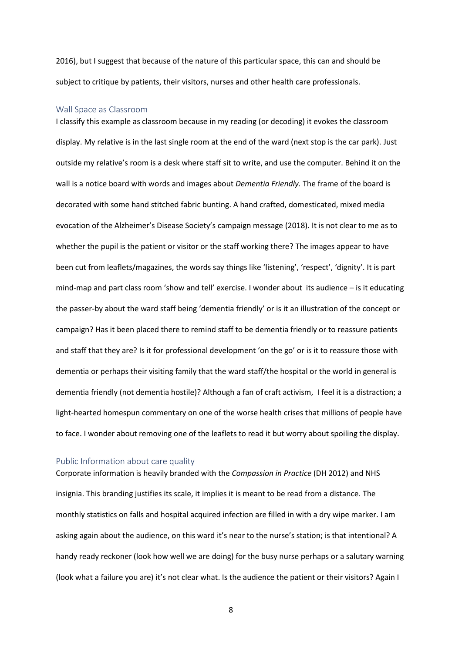2016), but I suggest that because of the nature of this particular space, this can and should be subject to critique by patients, their visitors, nurses and other health care professionals.

### Wall Space as Classroom

I classify this example as classroom because in my reading (or decoding) it evokes the classroom display. My relative is in the last single room at the end of the ward (next stop is the car park). Just outside my relative's room is a desk where staff sit to write, and use the computer. Behind it on the wall is a notice board with words and images about *Dementia Friendly.* The frame of the board is decorated with some hand stitched fabric bunting. A hand crafted, domesticated, mixed media evocation of the Alzheimer's Disease Society's campaign message (2018). It is not clear to me as to whether the pupil is the patient or visitor or the staff working there? The images appear to have been cut from leaflets/magazines, the words say things like 'listening', 'respect', 'dignity'. It is part mind-map and part class room 'show and tell' exercise. I wonder about its audience – is it educating the passer-by about the ward staff being 'dementia friendly' or is it an illustration of the concept or campaign? Has it been placed there to remind staff to be dementia friendly or to reassure patients and staff that they are? Is it for professional development 'on the go' or is it to reassure those with dementia or perhaps their visiting family that the ward staff/the hospital or the world in general is dementia friendly (not dementia hostile)? Although a fan of craft activism, I feel it is a distraction; a light-hearted homespun commentary on one of the worse health crises that millions of people have to face. I wonder about removing one of the leaflets to read it but worry about spoiling the display.

### Public Information about care quality

Corporate information is heavily branded with the *Compassion in Practice* (DH 2012) and NHS insignia. This branding justifies its scale, it implies it is meant to be read from a distance. The monthly statistics on falls and hospital acquired infection are filled in with a dry wipe marker. I am asking again about the audience, on this ward it's near to the nurse's station; is that intentional? A handy ready reckoner (look how well we are doing) for the busy nurse perhaps or a salutary warning (look what a failure you are) it's not clear what. Is the audience the patient or their visitors? Again I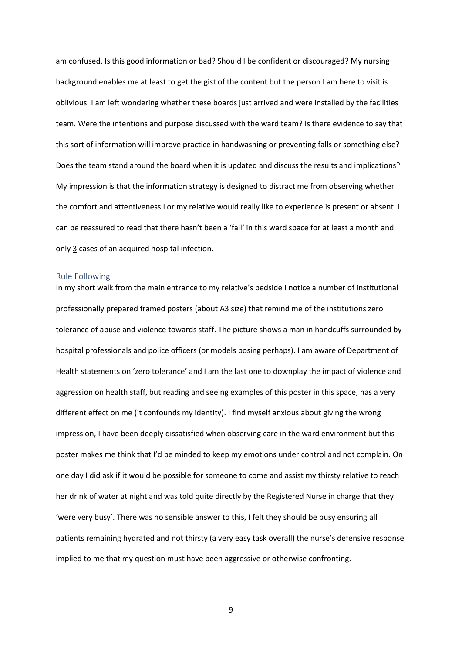am confused. Is this good information or bad? Should I be confident or discouraged? My nursing background enables me at least to get the gist of the content but the person I am here to visit is oblivious. I am left wondering whether these boards just arrived and were installed by the facilities team. Were the intentions and purpose discussed with the ward team? Is there evidence to say that this sort of information will improve practice in handwashing or preventing falls or something else? Does the team stand around the board when it is updated and discuss the results and implications? My impression is that the information strategy is designed to distract me from observing whether the comfort and attentiveness I or my relative would really like to experience is present or absent. I can be reassured to read that there hasn't been a 'fall' in this ward space for at least a month and only 3 cases of an acquired hospital infection.

### Rule Following

In my short walk from the main entrance to my relative's bedside I notice a number of institutional professionally prepared framed posters (about A3 size) that remind me of the institutions zero tolerance of abuse and violence towards staff. The picture shows a man in handcuffs surrounded by hospital professionals and police officers (or models posing perhaps). I am aware of Department of Health statements on 'zero tolerance' and I am the last one to downplay the impact of violence and aggression on health staff, but reading and seeing examples of this poster in this space, has a very different effect on me (it confounds my identity). I find myself anxious about giving the wrong impression, I have been deeply dissatisfied when observing care in the ward environment but this poster makes me think that I'd be minded to keep my emotions under control and not complain. On one day I did ask if it would be possible for someone to come and assist my thirsty relative to reach her drink of water at night and was told quite directly by the Registered Nurse in charge that they 'were very busy'. There was no sensible answer to this, I felt they should be busy ensuring all patients remaining hydrated and not thirsty (a very easy task overall) the nurse's defensive response implied to me that my question must have been aggressive or otherwise confronting.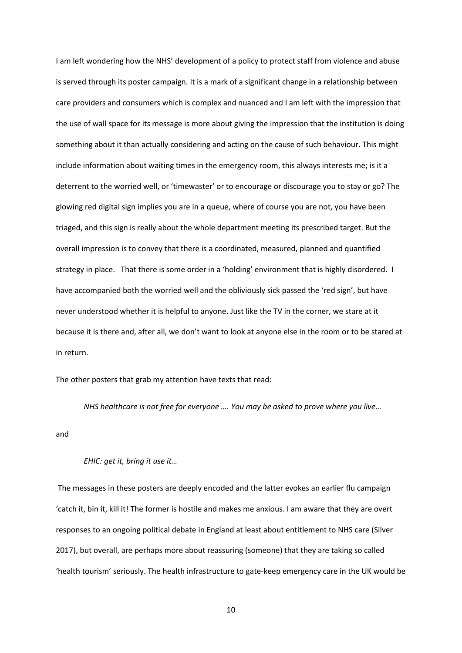I am left wondering how the NHS' development of a policy to protect staff from violence and abuse is served through its poster campaign. It is a mark of a significant change in a relationship between care providers and consumers which is complex and nuanced and I am left with the impression that the use of wall space for its message is more about giving the impression that the institution is doing something about it than actually considering and acting on the cause of such behaviour. This might include information about waiting times in the emergency room, this always interests me; is it a deterrent to the worried well, or 'timewaster' or to encourage or discourage you to stay or go? The glowing red digital sign implies you are in a queue, where of course you are not, you have been triaged, and this sign is really about the whole department meeting its prescribed target. But the overall impression is to convey that there is a coordinated, measured, planned and quantified strategy in place. That there is some order in a 'holding' environment that is highly disordered. I have accompanied both the worried well and the obliviously sick passed the 'red sign', but have never understood whether it is helpful to anyone. Just like the TV in the corner, we stare at it because it is there and, after all, we don't want to look at anyone else in the room or to be stared at in return.

The other posters that grab my attention have texts that read:

*NHS healthcare is not free for everyone …. You may be asked to prove where you live…*

and

### *EHIC: get it, bring it use it…*

The messages in these posters are deeply encoded and the latter evokes an earlier flu campaign 'catch it, bin it, kill it! The former is hostile and makes me anxious. I am aware that they are overt responses to an ongoing political debate in England at least about entitlement to NHS care (Silver 2017), but overall, are perhaps more about reassuring (someone) that they are taking so called 'health tourism' seriously. The health infrastructure to gate-keep emergency care in the UK would be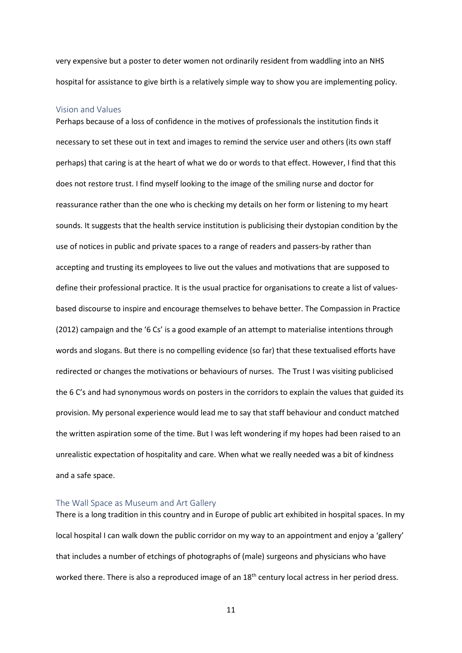very expensive but a poster to deter women not ordinarily resident from waddling into an NHS hospital for assistance to give birth is a relatively simple way to show you are implementing policy.

### Vision and Values

Perhaps because of a loss of confidence in the motives of professionals the institution finds it necessary to set these out in text and images to remind the service user and others (its own staff perhaps) that caring is at the heart of what we do or words to that effect. However, I find that this does not restore trust. I find myself looking to the image of the smiling nurse and doctor for reassurance rather than the one who is checking my details on her form or listening to my heart sounds. It suggests that the health service institution is publicising their dystopian condition by the use of notices in public and private spaces to a range of readers and passers-by rather than accepting and trusting its employees to live out the values and motivations that are supposed to define their professional practice. It is the usual practice for organisations to create a list of valuesbased discourse to inspire and encourage themselves to behave better. The Compassion in Practice (2012) campaign and the '6 Cs' is a good example of an attempt to materialise intentions through words and slogans. But there is no compelling evidence (so far) that these textualised efforts have redirected or changes the motivations or behaviours of nurses. The Trust I was visiting publicised the 6 C's and had synonymous words on posters in the corridors to explain the values that guided its provision. My personal experience would lead me to say that staff behaviour and conduct matched the written aspiration some of the time. But I was left wondering if my hopes had been raised to an unrealistic expectation of hospitality and care. When what we really needed was a bit of kindness and a safe space.

### The Wall Space as Museum and Art Gallery

There is a long tradition in this country and in Europe of public art exhibited in hospital spaces. In my local hospital I can walk down the public corridor on my way to an appointment and enjoy a 'gallery' that includes a number of etchings of photographs of (male) surgeons and physicians who have worked there. There is also a reproduced image of an  $18<sup>th</sup>$  century local actress in her period dress.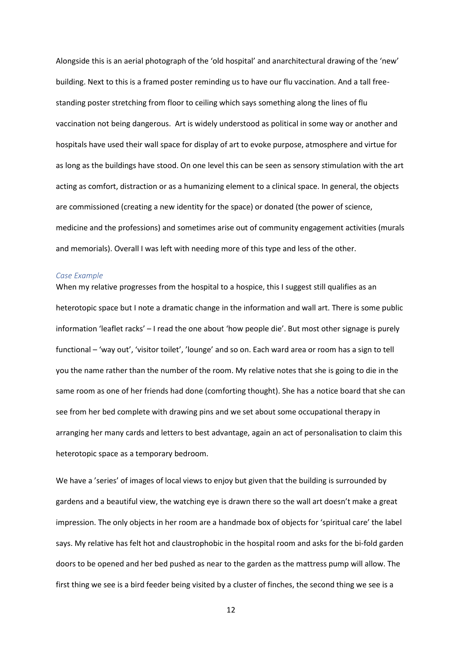Alongside this is an aerial photograph of the 'old hospital' and anarchitectural drawing of the 'new' building. Next to this is a framed poster reminding us to have our flu vaccination. And a tall freestanding poster stretching from floor to ceiling which says something along the lines of flu vaccination not being dangerous. Art is widely understood as political in some way or another and hospitals have used their wall space for display of art to evoke purpose, atmosphere and virtue for as long as the buildings have stood. On one level this can be seen as sensory stimulation with the art acting as comfort, distraction or as a humanizing element to a clinical space. In general, the objects are commissioned (creating a new identity for the space) or donated (the power of science, medicine and the professions) and sometimes arise out of community engagement activities (murals and memorials). Overall I was left with needing more of this type and less of the other.

### *Case Example*

When my relative progresses from the hospital to a hospice, this I suggest still qualifies as an heterotopic space but I note a dramatic change in the information and wall art. There is some public information 'leaflet racks' – I read the one about 'how people die'. But most other signage is purely functional – 'way out', 'visitor toilet', 'lounge' and so on. Each ward area or room has a sign to tell you the name rather than the number of the room. My relative notes that she is going to die in the same room as one of her friends had done (comforting thought). She has a notice board that she can see from her bed complete with drawing pins and we set about some occupational therapy in arranging her many cards and letters to best advantage, again an act of personalisation to claim this heterotopic space as a temporary bedroom.

We have a 'series' of images of local views to enjoy but given that the building is surrounded by gardens and a beautiful view, the watching eye is drawn there so the wall art doesn't make a great impression. The only objects in her room are a handmade box of objects for 'spiritual care' the label says. My relative has felt hot and claustrophobic in the hospital room and asks for the bi-fold garden doors to be opened and her bed pushed as near to the garden as the mattress pump will allow. The first thing we see is a bird feeder being visited by a cluster of finches, the second thing we see is a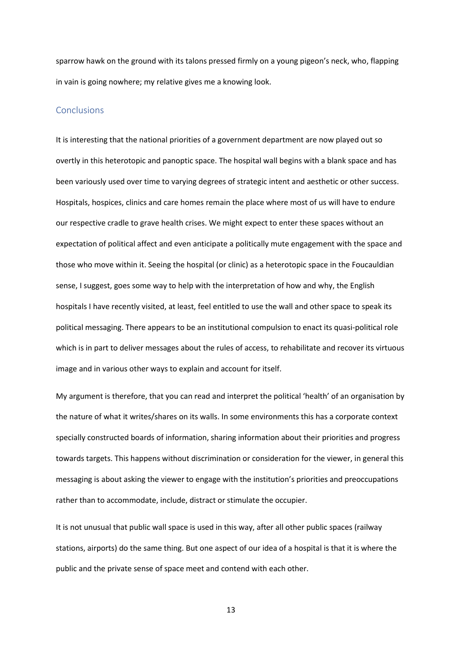sparrow hawk on the ground with its talons pressed firmly on a young pigeon's neck, who, flapping in vain is going nowhere; my relative gives me a knowing look.

### **Conclusions**

It is interesting that the national priorities of a government department are now played out so overtly in this heterotopic and panoptic space. The hospital wall begins with a blank space and has been variously used over time to varying degrees of strategic intent and aesthetic or other success. Hospitals, hospices, clinics and care homes remain the place where most of us will have to endure our respective cradle to grave health crises. We might expect to enter these spaces without an expectation of political affect and even anticipate a politically mute engagement with the space and those who move within it. Seeing the hospital (or clinic) as a heterotopic space in the Foucauldian sense, I suggest, goes some way to help with the interpretation of how and why, the English hospitals I have recently visited, at least, feel entitled to use the wall and other space to speak its political messaging. There appears to be an institutional compulsion to enact its quasi-political role which is in part to deliver messages about the rules of access, to rehabilitate and recover its virtuous image and in various other ways to explain and account for itself.

My argument is therefore, that you can read and interpret the political 'health' of an organisation by the nature of what it writes/shares on its walls. In some environments this has a corporate context specially constructed boards of information, sharing information about their priorities and progress towards targets. This happens without discrimination or consideration for the viewer, in general this messaging is about asking the viewer to engage with the institution's priorities and preoccupations rather than to accommodate, include, distract or stimulate the occupier.

It is not unusual that public wall space is used in this way, after all other public spaces (railway stations, airports) do the same thing. But one aspect of our idea of a hospital is that it is where the public and the private sense of space meet and contend with each other.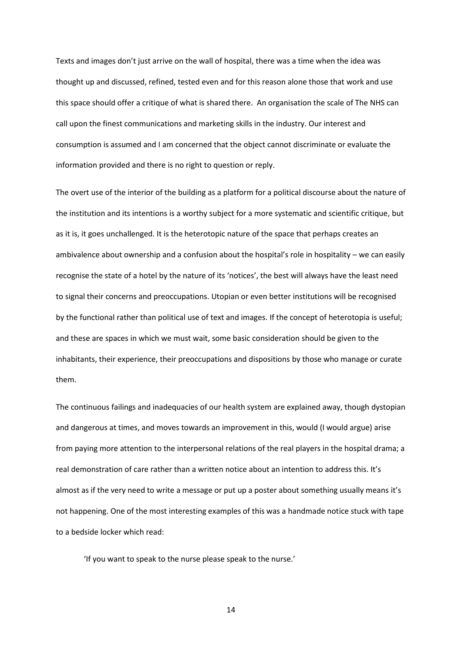Texts and images don't just arrive on the wall of hospital, there was a time when the idea was thought up and discussed, refined, tested even and for this reason alone those that work and use this space should offer a critique of what is shared there. An organisation the scale of The NHS can call upon the finest communications and marketing skills in the industry. Our interest and consumption is assumed and I am concerned that the object cannot discriminate or evaluate the information provided and there is no right to question or reply.

The overt use of the interior of the building as a platform for a political discourse about the nature of the institution and its intentions is a worthy subject for a more systematic and scientific critique, but as it is, it goes unchallenged. It is the heterotopic nature of the space that perhaps creates an ambivalence about ownership and a confusion about the hospital's role in hospitality – we can easily recognise the state of a hotel by the nature of its 'notices', the best will always have the least need to signal their concerns and preoccupations. Utopian or even better institutions will be recognised by the functional rather than political use of text and images. If the concept of heterotopia is useful; and these are spaces in which we must wait, some basic consideration should be given to the inhabitants, their experience, their preoccupations and dispositions by those who manage or curate them.

The continuous failings and inadequacies of our health system are explained away, though dystopian and dangerous at times, and moves towards an improvement in this, would (I would argue) arise from paying more attention to the interpersonal relations of the real players in the hospital drama; a real demonstration of care rather than a written notice about an intention to address this. It's almost as if the very need to write a message or put up a poster about something usually means it's not happening. One of the most interesting examples of this was a handmade notice stuck with tape to a bedside locker which read:

'If you want to speak to the nurse please speak to the nurse.'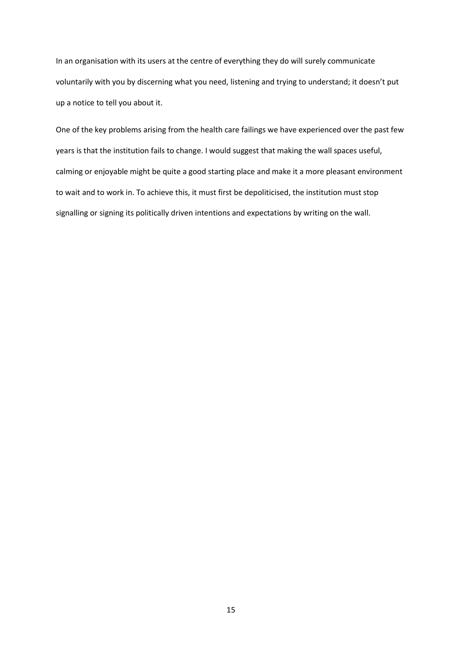In an organisation with its users at the centre of everything they do will surely communicate voluntarily with you by discerning what you need, listening and trying to understand; it doesn't put up a notice to tell you about it.

One of the key problems arising from the health care failings we have experienced over the past few years is that the institution fails to change. I would suggest that making the wall spaces useful, calming or enjoyable might be quite a good starting place and make it a more pleasant environment to wait and to work in. To achieve this, it must first be depoliticised, the institution must stop signalling or signing its politically driven intentions and expectations by writing on the wall.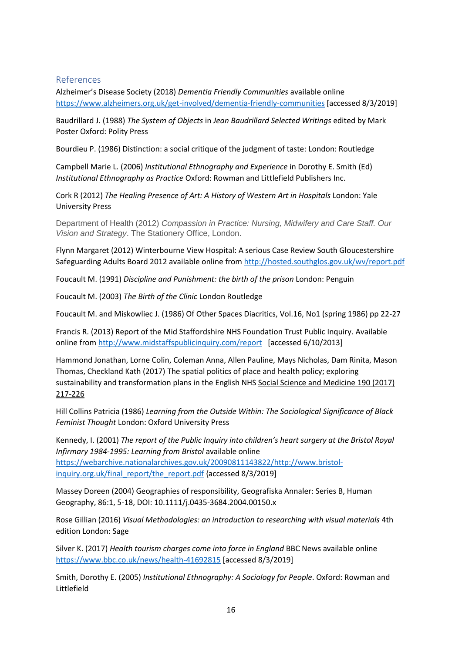# References

Alzheimer's Disease Society (2018) *Dementia Friendly Communities* available online <https://www.alzheimers.org.uk/get-involved/dementia-friendly-communities> [accessed 8/3/2019]

Baudrillard J. (1988) *The System of Objects* in *Jean Baudrillard Selected Writings* edited by Mark Poster Oxford: Polity Press

Bourdieu P. (1986) Distinction: a social critique of the judgment of taste: London: Routledge

Campbell Marie L. (2006) *Institutional Ethnography and Experience* in Dorothy E. Smith (Ed) *Institutional Ethnography as Practice* Oxford: Rowman and Littlefield Publishers Inc.

Cork R (2012) *The Healing Presence of Art: A History of Western Art in Hospitals* London: Yale University Press

Department of Health (2012) *Compassion in Practice: Nursing, Midwifery and Care Staff. Our Vision and Strategy*. The Stationery Office, London.

Flynn Margaret (2012) Winterbourne View Hospital: A serious Case Review South Gloucestershire Safeguarding Adults Board 2012 available online fro[m http://hosted.southglos.gov.uk/wv/report.pdf](http://hosted.southglos.gov.uk/wv/report.pdf)

Foucault M. (1991) *Discipline and Punishment: the birth of the prison* London: Penguin

Foucault M. (2003) *The Birth of the Clinic* London Routledge

Foucault M. and Miskowliec J. (1986) Of Other Spaces Diacritics, Vol.16, No1 (spring 1986) pp 22-27

Francis R. (2013) Report of the Mid Staffordshire NHS Foundation Trust Public Inquiry. Available online fro[m http://www.midstaffspublicinquiry.com/report](http://www.midstaffspublicinquiry.com/report) [accessed 6/10/2013]

Hammond Jonathan, Lorne Colin, Coleman Anna, Allen Pauline, Mays Nicholas, Dam Rinita, Mason Thomas, Checkland Kath (2017) The spatial politics of place and health policy; exploring sustainability and transformation plans in the English NHS Social Science and Medicine 190 (2017) 217-226

Hill Collins Patricia (1986) *Learning from the Outside Within: The Sociological Significance of Black Feminist Thought* London: Oxford University Press

Kennedy, I. (2001) *The report of the Public Inquiry into children's heart surgery at the Bristol Royal Infirmary 1984-1995: Learning from Bristol* available online [https://webarchive.nationalarchives.gov.uk/20090811143822/http://www.bristol](https://webarchive.nationalarchives.gov.uk/20090811143822/http:/www.bristol-inquiry.org.uk/final_report/the_report.pdf)[inquiry.org.uk/final\\_report/the\\_report.pdf](https://webarchive.nationalarchives.gov.uk/20090811143822/http:/www.bristol-inquiry.org.uk/final_report/the_report.pdf) {accessed 8/3/2019]

Massey Doreen (2004) Geographies of responsibility, Geografiska Annaler: Series B, Human Geography, 86:1, 5-18, DOI: 10.1111/j.0435-3684.2004.00150.x

Rose Gillian (2016) *Visual Methodologies: an introduction to researching with visual materials* 4th edition London: Sage

Silver K. (2017) *Health tourism charges come into force in England* BBC News available online <https://www.bbc.co.uk/news/health-41692815> [accessed 8/3/2019]

Smith, Dorothy E. (2005) *Institutional Ethnography: A Sociology for People*. Oxford: Rowman and Littlefield